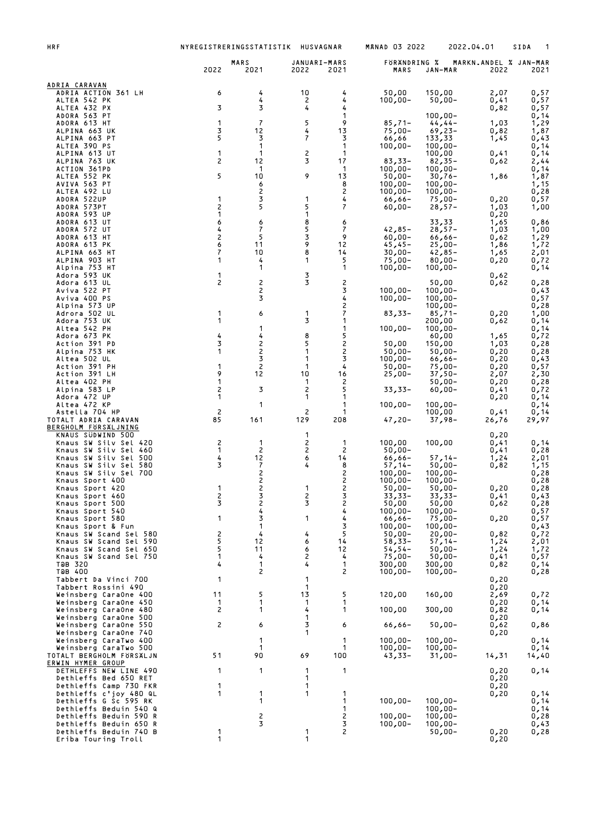| HRF                                              | NYREGISTRERINGSSTATISTIK       |                              | HUSVAGNAR            |                              | <b>MANAD 03 2022</b>     |                          | 2022.04.01                    | SIDA<br>1    |
|--------------------------------------------------|--------------------------------|------------------------------|----------------------|------------------------------|--------------------------|--------------------------|-------------------------------|--------------|
|                                                  | 2022                           | MARS<br>2021                 | JANUARI-MARS<br>2022 | 2021                         | FORANDRING %<br>MARS     | JAN-MAR                  | MARKN.ANDEL % JAN-MAR<br>2022 | 2021         |
| ADRIA CARAVAN                                    |                                |                              |                      |                              |                          |                          |                               |              |
| ADRIA ACTION 361 LH<br>ALTEA 542 PK              | 6                              | 4<br>4                       | 10<br>2              | 4<br>4                       | 50,00<br>$100,00 -$      | 150,00<br>$50,00 -$      | 2,07<br>0,41                  | 0,57<br>0,57 |
| ALTEA 432 PX                                     | 3                              | 3                            | 4                    | 4                            |                          |                          | 0,82                          | 0,57         |
| ADORA 563 PT<br>ADORA 613 HT                     | $\mathbf{1}$                   | $\overline{\phantom{a}}$     | 5                    | 1<br>9                       | $85,71-$                 | $100,00 -$<br>$44, 44-$  | 1,03                          | 0,14<br>1,29 |
| ALPINA 663 UK<br>ALPINA 663 PT                   | 3<br>5                         | 12<br>3                      | 4<br>7               | 13<br>3                      | $75,00-$<br>66,66        | $69,23-$<br>133,33       | 0,82                          | 1,87<br>0,43 |
| ALTEA 390 PS                                     |                                | 1                            |                      | 1                            | $100,00 -$               | $100,00 -$               | 1,45                          | 0,14         |
| ALPINA 613 UT<br>ALPINA 763 UK                   | 1<br>2                         | 1<br>12                      | 2<br>3               | 1<br>17                      | $83,33-$                 | 100,00<br>$82,35-$       | 0,41<br>0,62                  | 0,14<br>2,44 |
| ACTION 361PD                                     |                                | 1                            |                      | -1                           | $100,00 -$               | $100,00 -$               |                               | 0,14         |
| ALTEA 552 PK<br>AVIVA 563 PT                     | 5                              | 10<br>6                      | 9                    | 13<br>8                      | $50,00 -$<br>$100,00 -$  | $30,76-$<br>$100,00 -$   | 1,86                          | 1,87<br>1,15 |
| ALTEA 492 LU<br>ADORA 522UP                      | $\mathbf{1}$                   | $\overline{\mathbf{c}}$<br>3 | 1                    | 2<br>4                       | $100,00 -$               | $100,00 -$               |                               | 0,28         |
| ADORA 573PT                                      | 2                              | 5                            | 5                    | 7                            | 66,66-<br>$60,00 -$      | $75,00-$<br>$28,57-$     | 0,20<br>1,03                  | 0,57<br>1,00 |
| ADORA 593 UP<br>ADORA 613 UT                     | 1<br>6                         | 6                            | 1<br>8               | 6                            |                          | 33,33                    | 0,20<br>1,65                  | 0,86         |
| ADORA 572 UT                                     | 4                              | 7                            | 5                    | 7                            | $42,85 -$                | $28,57-$                 | 1,03                          | 1,00         |
| ADORA 613 HT<br>ADORA 613 PK                     | 2<br>6                         | 5<br>11                      | 3<br>9               | 9<br>12                      | $60,00 -$<br>$45,45-$    | $66,66 -$<br>$25,00-$    | 0,62<br>1,86                  | 1,29<br>1,72 |
| ALPINA 663 HT<br>ALPINA 903 HT                   | 7<br>1                         | 10<br>4                      | 8<br>1               | 14<br>5                      | $30,00 -$<br>$75,00-$    | $42,85-$<br>$80,00 -$    | 1,65                          | 2,01<br>0,72 |
| Alpina 753 HT                                    |                                | 1                            |                      | 1                            | $100,00 -$               | $100,00 -$               | 0,20                          | 0,14         |
| Adora 593 UK<br>Adora 613 UL                     | $\mathbf{1}$<br>$\overline{c}$ | $\overline{c}$               | 3<br>3               | 2                            |                          | 50,00                    | 0,62<br>0,62                  | 0,28         |
| Aviva 522 PT                                     |                                | 2                            |                      | 3                            | $100,00 -$               | $100,00 -$               |                               | 0,43         |
| Aviva 400 PS<br>Alpina 573 UP                    |                                | 3                            |                      | 4<br>2                       | $100,00 -$               | $100,00 -$<br>$100,00 -$ |                               | 0,57<br>0,28 |
| Adrora 502 UL<br>Adora 753 UK                    | $\mathbf{1}$<br>1              | 6                            | 1<br>3               | 7<br>1                       | $83,33-$                 | $85,71-$<br>200,00       | 0,20<br>0,62                  | 1,00<br>0,14 |
| Altea 542 PH                                     |                                | 1                            |                      | 1                            | $100,00 -$               | $100,00 -$               |                               | 0,14         |
| Adora 673 PK<br>Action 391 PD                    | 4<br>3                         | 4<br>2                       | 8<br>5               | 5<br>2                       | 50,00                    | 60,00<br>150,00          | 1,65<br>1,03                  | 0,72<br>0,28 |
| Alpina 753 HK                                    | 1                              | 2                            | 1                    | 2                            | $50,00 -$                | 50,00-                   | 0,20                          | 0,28         |
| Altea 502 UL<br>Action 391 PH                    | 1                              | 3<br>$\overline{c}$          | 1<br>1               | 3<br>4                       | $100,00 -$<br>$50,00 -$  | $66,66 -$<br>$75,00-$    | 0,20<br>0,20                  | 0,43<br>0,57 |
| Action 391 LH                                    | 9<br>1                         | 12                           | 10<br>1              | 16<br>2                      | $25,00-$                 | $37,50-$                 | 2,07                          | 2,30         |
| Altea 402 PH<br>Alpina 583 LP                    | 2                              | 3                            | 2                    | 5                            | $33,33-$                 | $50,00 -$<br>$60,00 -$   | 0,20<br>0,41                  | 0,28<br>0,72 |
| Adora 472 UP<br>Altea 472 KP                     | 1                              | 1                            | 1                    | 1<br>1                       | $100,00 -$               | $100,00 -$               | 0,20                          | 0,14<br>0,14 |
| Astella 704 HP                                   | $\overline{c}$                 |                              | 2                    | 1                            |                          | 100,00                   | 0,41                          | 0,14         |
| TOTALT ADRIA CARAVAN<br>BERGHOLM FORSALJNING     | 85                             | 161                          | 129                  | 208                          | $47,20-$                 | 37,98-                   | 26,76                         | 29,97        |
| KNAUS SÜDWIND 500<br>Knaus SW Silv Sel 420       | $\overline{c}$                 | $\mathbf{1}$                 | 1<br>2               | $\mathbf 1$                  | 100,00                   | 100,00                   | 0,20<br>0,41                  | 0,14         |
| Knaus SW Silv Sel 460                            | 1                              | $\overline{c}$               | 2                    | $\overline{c}$               | $50,00 -$                |                          | 0,41                          | 0,28         |
| Knaus SW Silv Sel 500<br>Knaus SW Silv Sel 580   | 4<br>3                         | $12$<br>$\overline{7}$       | 6<br>4               | 14<br>8                      | $66,66 -$<br>$57,14-$    | $57,14-$<br>$50,00 -$    | 1,24<br>0,82                  | 2,01<br>1,15 |
| Knaus SW Silv Sel 700<br>Knaus Sport 400         |                                | $\overline{c}$<br>2          |                      | 2<br>2                       | $100,00 -$<br>$100,00 -$ | $100,00 -$<br>$100,00 -$ |                               | 0,28<br>0,28 |
| Knaus Sport 420                                  | 1                              | 2                            |                      | 2                            | $50,00 -$                | $50,00 -$                | 0,20                          | 0, 28        |
| Knaus Sport 460<br>Knaus Sport 500               | 2<br>3                         | 3<br>2<br>4                  | $\frac{2}{3}$        | 3<br>$\overline{\mathbf{c}}$ | 33,33-<br>50,00          | 33,33-<br>50,00          | 0,41<br>0,62                  | 0,43<br>0,28 |
| Knaus Sport 540<br>Knaus Sport 580               | 1                              | 3                            |                      | 4<br>4                       | $100,00 -$               | $100,00 -$               |                               | 0,57         |
| Knaus Sport & Fun                                |                                | $\mathbf{1}$                 | 1                    | 3                            | -66,66<br>$100,00 -$     | 75,00-<br>$100,00 -$     | 0,20                          | 0,57<br>0,43 |
| Knaus SW Scand Sel 580<br>Knaus SW Scand Sel 590 | 2<br>5                         | 4<br>12                      | 4<br>6               | 5<br>14                      | $50,00 -$<br>58,33-      | $20,00 -$<br>$57,14-$    | 0,82<br>1,24                  | 0,72<br>2,01 |
| Knaus SW Scand Sel 650                           | 5                              | 11                           | 6                    | 12                           | $54, 54 -$               | $50,00 -$                | 1,24                          | 1,72         |
| Knaus SW Scand Sel 750<br>T@B 320                | 1<br>4                         | 4<br>$\mathbf{1}$            | 2<br>4               | 4<br>1                       | $75,00-$<br>300,00       | $50,00 -$<br>300,00      | 0,41<br>0,82                  | 0,57<br>0,14 |
| ТӘВ 400<br>Tabbert Da Vinci 700                  | 1                              | 2                            | 1                    | 2                            | $100,00 -$               | $100,00 -$               | 0,20                          | 0,28         |
| Tabbert Rossini 490                              |                                |                              | 1                    |                              |                          |                          | 0,20                          |              |
| Weinsberg CaraOne 400<br>Weinsberg CaraOne 450   | 11<br>1                        | 5<br>1                       | 13<br>1              | 5<br>1                       | 120,00                   | 160,00                   | 2,69<br>0,20                  | 0,72<br>0,14 |
| Weinsberg CaraOne 480                            | $\overline{c}$                 | 1                            | 4                    | 1                            | 100,00                   | 300,00                   | 0,82                          | 0,14         |
| Weinsberg CaraOne 500<br>Weinsberg CaraOne 550   | 2                              | 6                            | 1<br>3               | 6                            | $66,66 -$                | $50,00 -$                | 0,20<br>0,62                  | 0,86         |
| Weinsberg CaraOne 740<br>Weinsberg CaraTwo 400   |                                | 1                            | 1                    | $\mathbf 1$                  | $100,00 -$               | $100,00 -$               | 0,20                          | 0,14         |
| Weinsberg CaraTwo 500                            |                                | 1                            |                      | 1                            | $100,00 -$               | $100,00 -$               |                               | 0,14         |
| TOTALT BERGHOLM FÖRSÄLJN<br>ERWIN HYMER GROUP    | 51                             | 90                           | 69                   | 100                          | 43,33-                   | $31,00-$                 | 14,31                         | 14,40        |
| DETHLEFFS NEW LINE 490                           | 1                              | 1                            | 1<br>1               | 1                            |                          |                          | 0,20<br>0,20                  | 0,14         |
| Dethleffs Bed 650 RET<br>Dethleffs Camp 730 FKR  | 1                              |                              | 1                    |                              |                          |                          | 0,20                          |              |
| Dethleffs c'joy 480 QL<br>Dethleffs G Sc 595 RK  | 1                              | 1<br>1                       | 1                    | 1<br>1                       | $100,00 -$               | $100,00 -$               | 0,20                          | 0,14<br>0,14 |
| Dethleffs Beduin 540 Q                           |                                |                              |                      | 1                            |                          | $100,00 -$               |                               | 0,14         |
| Dethleffs Beduin 590 R<br>Dethleffs Beduin 650 R |                                | 2<br>3                       |                      | 2<br>3                       | $100,00 -$<br>$100,00 -$ | $100,00 -$<br>$100,00 -$ |                               | 0,28<br>0,43 |
| Dethleffs Beduin 740 B<br>Eriba Touring Troll    | 1<br>1                         |                              | 1<br>1               | 2                            |                          | $50,00 -$                | 0,20<br>0,20                  | 0,28         |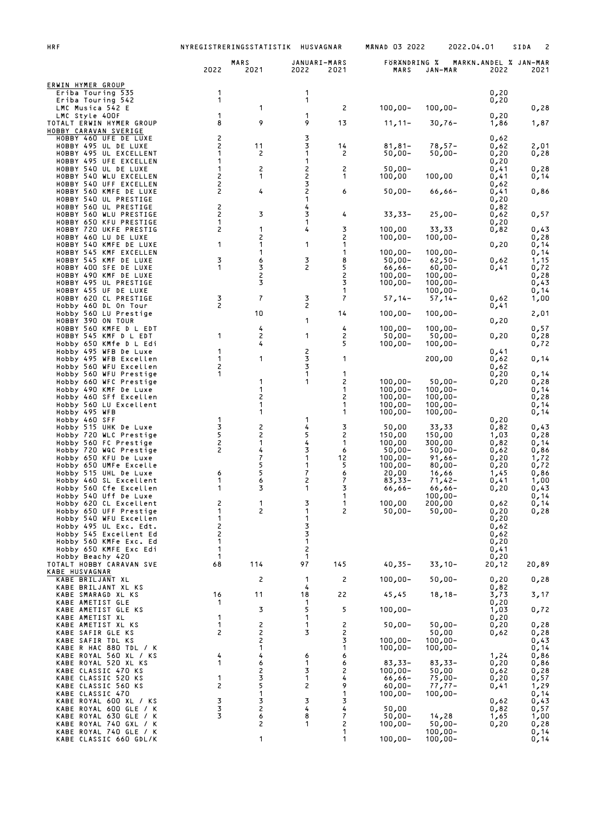| <b>HRF</b>                                        |                   | NYREGISTRERINGSSTATISTIK | HUSVAGNAR            |                | <b>MANAD 03 2022</b>     |                          | 2022.04.01                    | 2<br>SIDA    |
|---------------------------------------------------|-------------------|--------------------------|----------------------|----------------|--------------------------|--------------------------|-------------------------------|--------------|
|                                                   | 2022              | MARS<br>2021             | JANUARI-MARS<br>2022 | 2021           | FORANDRING %<br>MARS     | JAN-MAR                  | MARKN.ANDEL % JAN-MAR<br>2022 | 2021         |
| ERWIN HYMER GROUP<br>Eriba Touring 535            | 1                 |                          | 1                    |                |                          |                          | 0,20                          |              |
| Eriba Touring 542<br>LMC Musica 542 E             | 1                 | 1                        | 1                    | 2              | $100,00 -$               | $100,00 -$               | 0,20                          | 0,28         |
| LMC Style 400F                                    | 1<br>8            | 9                        | 1<br>9               | 13             |                          |                          | 0,20                          |              |
| TOTALT ERWIN HYMER GROUP<br>HOBBY CARAVAN SVERIGE |                   |                          |                      |                | $11, 11-$                | $30,76-$                 | 1,86                          | 1,87         |
| HOBBY 460 UFE DE LUXE<br>HOBBY 495 UL DE LUXE     | 2<br>2            | 11                       | 3<br>3               | 14             | $81,81-$                 | $78,57-$                 | 0,62<br>0,62                  | 2,01         |
| HOBBY 495 UL EXCELLENT<br>HOBBY 495 UFE EXCELLEN  | 1<br>1            | 2                        | 1<br>1               | 2              | $50,00 -$                | 50,00-                   | 0,20<br>0,20                  | 0,28         |
| HOBBY 540 UL DE LUXE<br>HOBBY 540 WLU EXCELLEN    | 1<br>2            | 2<br>1                   | 2<br>2               | 2<br>1         | $50,00 -$<br>100,00      | 100,00                   | 0,41<br>0,41                  | 0,28<br>0,14 |
| HOBBY 540 UFF EXCELLEN<br>HOBBY 560 KMFE DE LUXE  | 2<br>2            | 4                        | 3<br>2               | 6              | $50,00 -$                | 66,66-                   | 0,62<br>0,41                  | 0,86         |
| HOBBY 540 UL PRESTIGE<br>HOBBY 560 UL PRESTIGE    | 2                 |                          | 1<br>4               |                |                          |                          | 0,20<br>0,82                  |              |
| HOBBY 560 WLU PRESTIGE                            | 2<br>1            | 3                        | 3<br>1               | 4              | $33,33-$                 | $25,00-$                 | 0,62                          | 0,57         |
| HOBBY 650 KFU PRESTIGE<br>HOBBY 720 UKFE PRESTIG  | 2                 | 1                        | 4                    | 3              | 100,00                   | 33,33                    | 0,20<br>0,82                  | 0,43         |
| HOBBY 460 LU DE LUXE<br>HOBBY 540 KMFE DE LUXE    | 1                 | 2<br>1                   | 1                    | 2<br>1         | $100,00 -$               | $100,00 -$               | 0,20                          | 0,28<br>0,14 |
| HOBBY 545 KMF EXCELLEN<br>HOBBY 545 KMF DE LUXE   | 3                 | 1<br>6                   | 3                    | 1<br>8         | $100,00 -$<br>$50,00 -$  | $100,00 -$<br>$62,50-$   | 0,62                          | 0,14<br>1,15 |
| HOBBY 400 SFE DE LUXE<br>HOBBY 490 KMF DE LUXE    | 1                 | 3<br>2                   | 2                    | 5<br>2         | $66,66 -$<br>$100,00 -$  | $60,00 -$<br>$100,00 -$  | 0,41                          | 0,72<br>0,28 |
| HOBBY 495 UL PRESTIGE<br>HOBBY 455 UF DE LUXE     |                   | 3                        |                      | 3<br>1         | $100,00 -$               | $100,00 -$<br>$100.00 -$ |                               | 0,43<br>0,14 |
| HOBBY 620 CL PRESTIGE<br>Hobby 460 DL On Tour     | 3<br>2            | $\overline{7}$           | 3<br>2               | 7              | $57,14-$                 | $57,14-$                 | 0,62<br>0,41                  | 1,00         |
| Hobby 560 LU Prestige<br>HOBBY 390 ON TOUR        |                   | 10                       | 1                    | 14             | $100,00 -$               | $100,00 -$               |                               | 2,01         |
| HOBBY 560 KMFE D L EDT                            |                   | 4                        |                      | 4              | $100,00 -$               | $100,00 -$               | 0,20                          | 0,57         |
| HOBBY 545 KMF D L EDT<br>Hobby 650 KMfe D L Edi   | 1                 | 2<br>4                   | 1                    | 2<br>5         | $50,00 -$<br>$100,00 -$  | $50,00 -$<br>$100,00 -$  | 0,20                          | 0,28<br>0,72 |
| Hobby 495 WFB De Luxe<br>Hobby 495 WFB Excellen   | 1<br>1            | 1                        | 2<br>3               | 1              |                          | 200,00                   | 0,41<br>0,62                  | 0,14         |
| Hobby 560 WFU Excellen<br>Hobby 560 WFU Prestige  | 2<br>1            |                          | 3<br>1               | 1              |                          |                          | 0,62<br>0,20                  | 0,14         |
| Hobby 660 WFC Prestige<br>Hobby 490 KMF De Luxe   |                   | 1<br>1                   | 1                    | 2<br>1         | $100,00 -$<br>$100,00 -$ | $50,00 -$<br>$100,00 -$  | 0,20                          | 0,28<br>0,14 |
| Hobby 460 SFf Excellen<br>Hobby 560 LU Excellent  |                   | 2<br>1                   |                      | 2<br>1         | $100,00 -$<br>$100,00 -$ | $100,00 -$<br>$100,00 -$ |                               | 0,28<br>0,14 |
| Hobby 495 WFB<br>Hobby 460 SFF                    | $\mathbf{1}$      | 1                        | 1                    | 1              | $100,00 -$               | $100,00 -$               | 0,20                          | 0,14         |
| Hobby 515 UHK De Luxe<br>Hobby 720 WLC Prestige   | 3<br>5            | 2<br>2                   | 4<br>5               | 3<br>2         | 50,00<br>150,00          | 33,33<br>150,00          | 0,82<br>1,03                  | 0,43<br>0,28 |
| Hobby 560 FC Prestige                             | $\mathbf{2}$      | 1                        | 4                    | 1              | 100,00                   | 300,00                   | 0,82                          | 0,14         |
| Hobby 720 WQC Prestige<br>Hobby 650 KFU De Luxe   | 2                 | 4<br>7                   | 3<br>1               | 6<br>12        | $50,00 -$<br>$100,00 -$  | $50,00 -$<br>$91,66 -$   | 0,62<br>0,20                  | 0,86<br>1,72 |
| Hobby 650 UMFe Excelle<br>Hobby 515 UHL De Luxe   | 6                 | 5<br>5                   | 1<br>7               | 5<br>6         | $100,00 -$<br>20,00      | $80,00 -$<br>16,66       | 0,20<br>1,45                  | 0,72<br>0,86 |
| Hobby 460 SL Excellent<br>Hobby 560 Cfe Excellen  | 1<br>1            | 6<br>3                   | 2<br>1               | 7              | $83,33-$<br>66,66-       | $71,42-$<br>66,66–       | 0,41<br>0,20                  | 1,00<br>0,43 |
| Hobby 540 Uff De Luxe<br>Hobby 620 CL Excellent   | 2                 | 1                        | 3                    | 1<br>1         | 100,00                   | $100,00 -$<br>200,00     | 0,62                          | 0,14<br>0,14 |
| Hobby 650 UFF Prestige<br>Hobby 540 WFU Excellen  | 1<br>1            | $\overline{c}$           | 1<br>1               | $\overline{c}$ | $50,00 -$                | $50,00 -$                | 0,20<br>0,20                  | 0,28         |
| Hobby 495 UL Exc. Edt.<br>Hobby 545 Excellent Ed  | 2<br>2            |                          | 3<br>3               |                |                          |                          | 0,62<br>0,62                  |              |
| Hobby 560 KMFe Exc. Ed<br>Hobby 650 KMFE Exc Edi  | 1<br>$\mathbf{1}$ |                          | 1<br>2               |                |                          |                          | 0,20<br>0,41                  |              |
| Hobby Beachy 420                                  | -1                |                          | 1                    |                |                          |                          | 0,20                          |              |
| TOTALT HOBBY CARAVAN SVE<br>KABE HUSVAGNAR        | 68                | 114                      | 97                   | 145            | $40,35 -$                | $33,10-$                 | 20,12                         | 20,89        |
| KABE BRILJANT XL<br>KABE BRILJANT XL KS           |                   | 2                        | 1<br>4               | $\overline{c}$ | $100,00 -$               | $50,00 -$                | 0,20<br>0,82                  | 0,28         |
| KABE SMARAGD XL KS<br>KABE AMETIST GLE            | 16<br>1           | 11                       | 18<br>1              | 22             | 45,45                    | $18, 18 -$               | 3,73<br>0,20                  | 3,17         |
| KABE AMETIST GLE KS<br>KABE AMETIST XL            | $\mathbf{1}$      | 3                        | 5<br>1               | 5              | $100,00 -$               |                          | 1,03<br>0,20                  | 0,72         |
| KABE AMETIST XL KS<br>KABE SAFIR GLE KS           | 1<br>2            | $\overline{c}$           | 1<br>3               | 2<br>2         | $50,00 -$                | $50,00 -$<br>50,00       | 0,20<br>0,62                  | 0,28<br>0,28 |
| KABE SAFIR TDL KS<br>KABE R HAC 880 TDL / K       |                   | $\frac{2}{2}$<br>1       |                      | 3<br>1         | $100,00 -$<br>$100,00 -$ | $100,00 -$<br>$100,00 -$ |                               | 0,43<br>0,14 |
| KABE ROYAL 560 XL / KS<br>KABE ROYAL 520 XL KS    | 4<br>1            | 4<br>6                   | 6<br>1               | 6<br>6         | $83,33-$                 | $83,33-$                 | 1,24<br>0,20                  | 0,86<br>0,86 |
| KABE CLASSIC 470 KS                               |                   | $\overline{c}$           | 3                    | $\overline{c}$ | $100,00 -$               | 50,00                    | 0,62                          | 0,28         |
| KABE CLASSIC 520 KS<br>KABE CLASSIC 560 KS        | 1<br>2            | 3<br>5                   | 1<br>2               | 4<br>9         | $66,66 -$<br>$60,00 -$   | $75,00-$<br>77,77-       | 0,20<br>0,41                  | 0,57<br>1,29 |
| KABE CLASSIC 470<br>KABE ROYAL 600 XL / KS        | 3                 | $\mathbf{1}$<br>3        | 3                    | 1<br>3         | $100,00 -$               | $100,00 -$               | 0,62                          | 0,14<br>0,43 |
| KABE ROYAL 600 GLE / K<br>KABE ROYAL 630 GLE / K  | 3<br>3            | 2<br>6                   | 4<br>8               | 4<br>7         | 50,00<br>$50,00 -$       | 14,28                    | 0,82<br>1,65                  | 0,57<br>1,00 |
| KABE ROYAL 740 GXL / K<br>KABE ROYAL 740 GLE / K  |                   | 2                        | 1                    | 2<br>1         | $100,00 -$               | $50,00 -$<br>$100,00 -$  | 0,20                          | 0,28<br>0,14 |
| KABE CLASSIC 660 GDL/K                            |                   | 1                        |                      | 1              | $100,00 -$               | $100,00 -$               |                               | 0,14         |